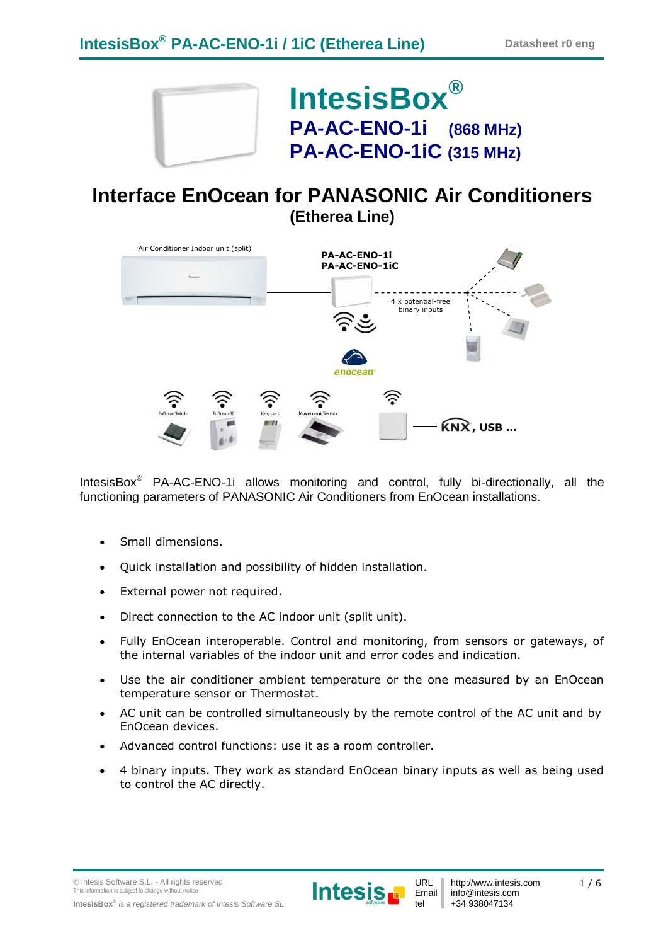

**IntesisBox® PA-AC-ENO-1i (868 MHz) PA-AC-ENO-1iC (315 MHz)**

## **Interface EnOcean for PANASONIC Air Conditioners (Etherea Line)**



IntesisBox® PA-AC-ENO-1i allows monitoring and control, fully bi-directionally, all the functioning parameters of PANASONIC Air Conditioners from EnOcean installations.

- Small dimensions.
- Quick installation and possibility of hidden installation.
- External power not required.
- Direct connection to the AC indoor unit (split unit).
- Fully EnOcean interoperable. Control and monitoring, from sensors or gateways, of the internal variables of the indoor unit and error codes and indication.
- Use the air conditioner ambient temperature or the one measured by an EnOcean temperature sensor or Thermostat.
- AC unit can be controlled simultaneously by the remote control of the AC unit and by EnOcean devices.
- Advanced control functions: use it as a room controller.
- 4 binary inputs. They work as standard EnOcean binary inputs as well as being used to control the AC directly.

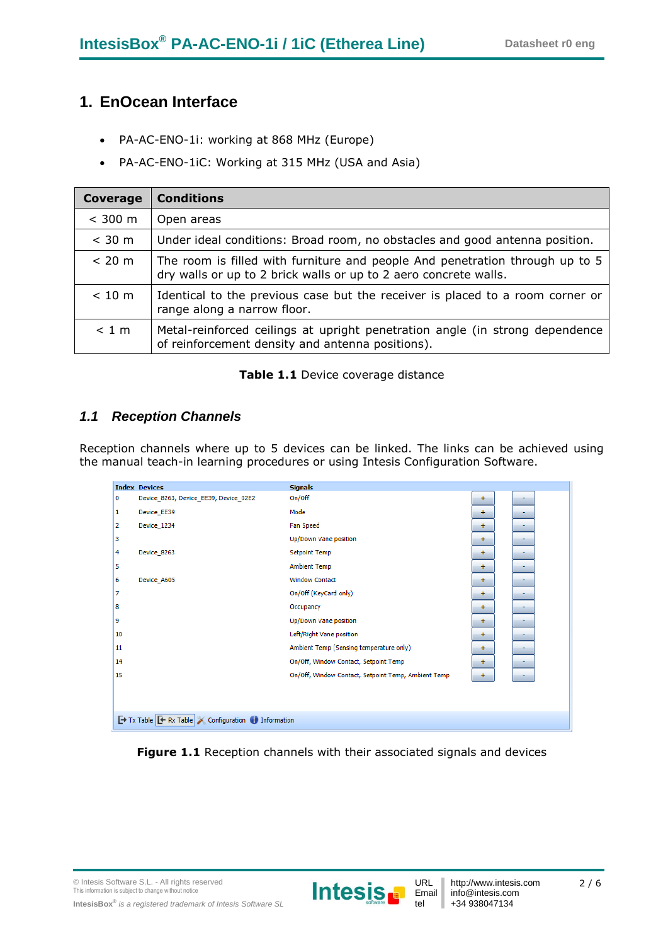### **1. EnOcean Interface**

- PA-AC-ENO-1i: working at 868 MHz (Europe)
- PA-AC-ENO-1iC: Working at 315 MHz (USA and Asia)

| Coverage | <b>Conditions</b>                                                                                                                                |
|----------|--------------------------------------------------------------------------------------------------------------------------------------------------|
| < 300 m  | Open areas                                                                                                                                       |
| $<$ 30 m | Under ideal conditions: Broad room, no obstacles and good antenna position.                                                                      |
| < 20 m   | The room is filled with furniture and people And penetration through up to 5<br>dry walls or up to 2 brick walls or up to 2 aero concrete walls. |
| < 10 m   | Identical to the previous case but the receiver is placed to a room corner or<br>range along a narrow floor.                                     |
| < 1 m    | Metal-reinforced ceilings at upright penetration angle (in strong dependence<br>of reinforcement density and antenna positions).                 |

#### **Table 1.1** Device coverage distance

### *1.1 Reception Channels*

Reception channels where up to 5 devices can be linked. The links can be achieved using the manual teach-in learning procedures or using Intesis Configuration Software.

|    | <b>Index Devices</b>                                    | <b>Signals</b>                                      |     |  |
|----|---------------------------------------------------------|-----------------------------------------------------|-----|--|
| 0  | Device_8263, Device_EE39, Device_02E2                   | On/Off                                              | ÷   |  |
| 1  | Device_EE39                                             | Mode                                                | $+$ |  |
| 2  | Device 1234                                             | <b>Fan Speed</b>                                    | $+$ |  |
| з  |                                                         | Up/Down Vane position                               | ÷   |  |
| 4  | Device_8263                                             | <b>Setpoint Temp</b>                                | ÷   |  |
| 5  |                                                         | <b>Ambient Temp</b>                                 | ÷   |  |
| 6  | Device A605                                             | <b>Window Contact</b>                               | $+$ |  |
| 7  |                                                         | On/Off (KeyCard only)                               | $+$ |  |
| 8  |                                                         | Occupancy                                           | ÷   |  |
| 9  |                                                         | Up/Down Vane position                               | ÷   |  |
| 10 |                                                         | Left/Right Vane position                            | ÷   |  |
| 11 |                                                         | Ambient Temp (Sensing temperature only)             | $+$ |  |
| 14 |                                                         | On/Off, Window Contact, Setpoint Temp               | ÷   |  |
| 15 |                                                         | On/Off, Window Contact, Setpoint Temp, Ambient Temp | ÷   |  |
|    |                                                         |                                                     |     |  |
|    |                                                         |                                                     |     |  |
|    | Tx Table <b>E</b> Rx Table Configuration in Information |                                                     |     |  |

Figure 1.1 Reception channels with their associated signals and devices

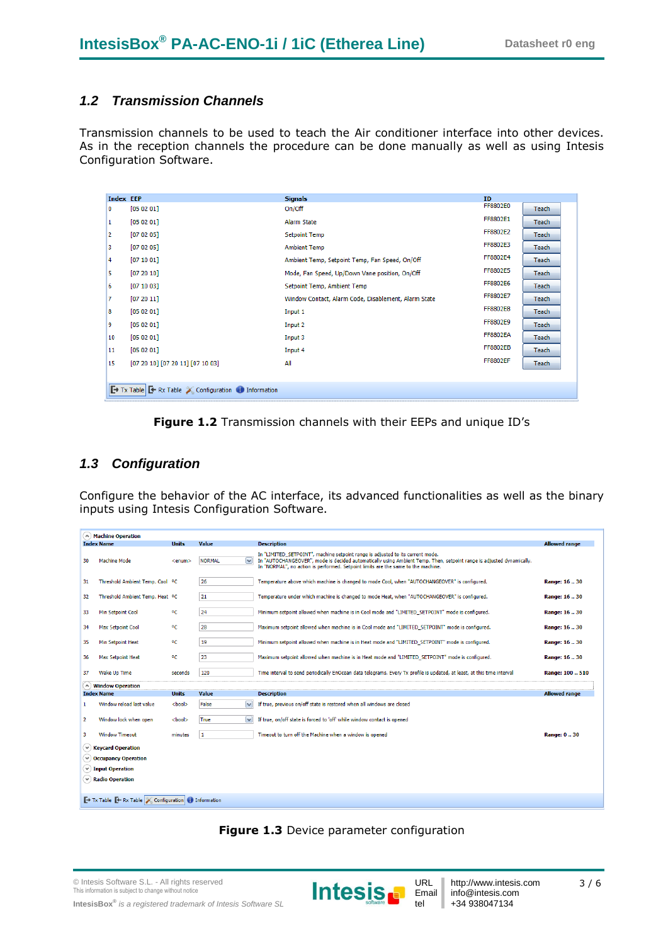### *1.2 Transmission Channels*

Transmission channels to be used to teach the Air conditioner interface into other devices. As in the reception channels the procedure can be done manually as well as using Intesis Configuration Software.

| <b>Index EEP</b> |                                                               | <b>Signals</b>                                       | <b>ID</b>       |              |
|------------------|---------------------------------------------------------------|------------------------------------------------------|-----------------|--------------|
| 0                | [05 02 01]                                                    | On/Off                                               | FF8802E0        | Teach        |
| 1                | [05 02 01]                                                    | Alarm State                                          | FF8802E1        | Teach        |
| 2                | [07 02 05]                                                    | <b>Setpoint Temp</b>                                 | FF8802E2        | <b>Teach</b> |
| з                | [07 02 05]                                                    | <b>Ambient Temp</b>                                  | FF8802E3        | <b>Teach</b> |
| 4                | [07 10 01]                                                    | Ambient Temp, Setpoint Temp, Fan Speed, On/Off       | FF8802E4        | Teach        |
| 5                | [07 20 10]                                                    | Mode, Fan Speed, Up/Down Vane position, On/Off       | FF8802E5        | <b>Teach</b> |
| 6                | [07 10 03]                                                    | Setpoint Temp, Ambient Temp                          | FF8802E6        | <b>Teach</b> |
| 7                | [07 20 11]                                                    | Window Contact, Alarm Code, Disablement, Alarm State | FF8802E7        | <b>Teach</b> |
| 8                | [05 02 01]                                                    | Input 1                                              | FF8802E8        | Teach        |
| 9                | [05 02 01]                                                    | Input 2                                              | FF8802E9        | <b>Teach</b> |
| 10               | [05 02 01]                                                    | Input 3                                              | <b>FF8802EA</b> | Teach        |
| 11               | [05 02 01]                                                    | Input 4                                              | <b>FF8802EB</b> | <b>Teach</b> |
| 15               | $[07 20 10]$ $[07 20 11]$ $[07 10 03]$                        | All                                                  | <b>FF8802EF</b> | Teach        |
|                  |                                                               |                                                      |                 |              |
|                  | Tx Table <b>E</b> Rx Table Configuration <b>D</b> Information |                                                      |                 |              |
|                  |                                                               |                                                      |                 |              |

**Figure 1.2** Transmission channels with their EEPs and unique ID's

#### *1.3 Configuration*

Configure the behavior of the AC interface, its advanced functionalities as well as the binary inputs using Intesis Configuration Software.

|                | A) Machine Operation                                                                                |               |                               |                                                                                                                                                                                                                                                                                             |                      |
|----------------|-----------------------------------------------------------------------------------------------------|---------------|-------------------------------|---------------------------------------------------------------------------------------------------------------------------------------------------------------------------------------------------------------------------------------------------------------------------------------------|----------------------|
|                | <b>Index Name</b>                                                                                   | <b>Units</b>  | Value                         | <b>Description</b>                                                                                                                                                                                                                                                                          | <b>Allowed range</b> |
| 30             | Machine Mode                                                                                        | <enum></enum> | $\checkmark$<br><b>NORMAL</b> | In "LIMITED SETPOINT", machine setpoint range is adjusted to its current mode.<br>In "AUTOCHANGEOVER", mode is decided automatically using Ambient Temp. Then, setpoint range is adjusted dynamically.<br>In "NORMAL", no action is performed. Setpoint limits are the same to the machine. |                      |
| 31             | Threshold Ambient Temp. Cool OC                                                                     |               | 26                            | Temperature above which machine is changed to mode Cool, when "AUTOCHANGEOVER" is configured.                                                                                                                                                                                               | Range: 16  30        |
| 32             | Threshold Ambient Temp. Heat OC                                                                     |               | 21                            | Temperature under which machine is changed to mode Heat, when "AUTOCHANGEOVER" is configured.                                                                                                                                                                                               | Range: 16  30        |
| 33             | Min Setpoint Cool                                                                                   | $^{\circ}$ C  | 24                            | Minimum setpoint allowed when machine is in Cool mode and "LIMITED SETPOINT" mode is configured.                                                                                                                                                                                            | Range: 16.30         |
| 34             | <b>Max Setpoint Cool</b>                                                                            | ۰c            | 28                            | Maximum setpoint allowed when machine is in Cool mode and "LIMITED_SETPOINT" mode is configured.                                                                                                                                                                                            | Range: 16  30        |
| 35             | Min Setpoint Heat                                                                                   | $^{\circ}$    | 19                            | Minimum setpoint allowed when machine is in Heat mode and "LIMITED_SETPOINT" mode is configured.                                                                                                                                                                                            | Range: 16  30        |
| 36             | <b>Max Setpoint Heat</b>                                                                            | °C            | 23                            | Maximum setpoint allowed when machine is in Heat mode and "LIMITED SETPOINT" mode is configured.                                                                                                                                                                                            | Range: 16.30         |
| 37             | <b>Wake Up Time</b>                                                                                 | seconds       | 120                           | Time interval to send periodically EnOcean data telegrams. Every Tx profile is updated, at least, at this time interval                                                                                                                                                                     | Range: 100  510      |
|                | $(\wedge)$ Window Operation                                                                         |               |                               |                                                                                                                                                                                                                                                                                             |                      |
|                | <b>Index Name</b>                                                                                   | <b>Units</b>  | <b>Value</b>                  | <b>Description</b>                                                                                                                                                                                                                                                                          | <b>Allowed range</b> |
| $\mathbf{1}$   | Window reload last value                                                                            | <bool></bool> | False<br>$\checkmark$         | If true, previous on/off state is restored when all windows are closed                                                                                                                                                                                                                      |                      |
| $\overline{2}$ | Window lock when open                                                                               | <bool></bool> | $\checkmark$<br><b>True</b>   | If true, on/off state is forced to 'off' while window contact is opened                                                                                                                                                                                                                     |                      |
| 3.             | <b>Window Timeout</b>                                                                               | minutes       | 1                             | Timeout to turn off the Machine when a window is opened                                                                                                                                                                                                                                     | Range: 030           |
|                | $\vee$ Keycard Operation                                                                            |               |                               |                                                                                                                                                                                                                                                                                             |                      |
|                | $\blacktriangledown$ Occupancy Operation                                                            |               |                               |                                                                                                                                                                                                                                                                                             |                      |
|                | $\vee$ Input Operation                                                                              |               |                               |                                                                                                                                                                                                                                                                                             |                      |
|                | $(\vee)$ Radio Operation                                                                            |               |                               |                                                                                                                                                                                                                                                                                             |                      |
|                |                                                                                                     |               |                               |                                                                                                                                                                                                                                                                                             |                      |
|                | $\rightarrow$ Tx Table $\rightarrow$ Rx Table $\rightarrow$ Configuration $\rightarrow$ Information |               |                               |                                                                                                                                                                                                                                                                                             |                      |
|                |                                                                                                     |               |                               |                                                                                                                                                                                                                                                                                             |                      |



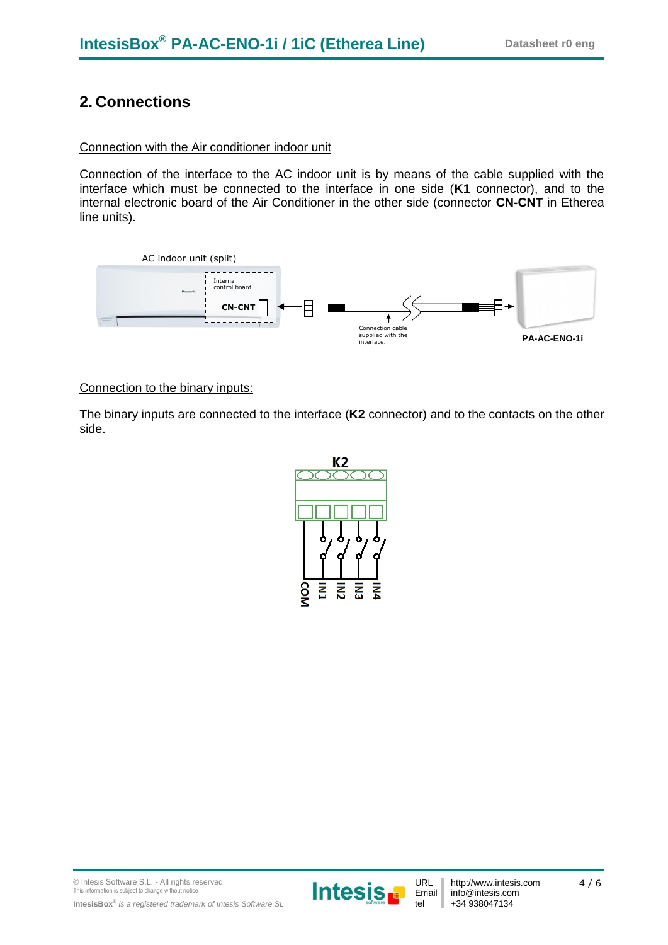## **2. Connections**

#### Connection with the Air conditioner indoor unit

Connection of the interface to the AC indoor unit is by means of the cable supplied with the interface which must be connected to the interface in one side (**K1** connector), and to the internal electronic board of the Air Conditioner in the other side (connector **CN-CNT** in Etherea line units).



#### Connection to the binary inputs:

The binary inputs are connected to the interface (**K2** connector) and to the contacts on the other side.



© Intesis Software S.L. - All rights reserved This information is subject to change without notice **IntesisBox®** *is a registered trademark of Intesis Software SL*



http://www.intesis.com info@intesis.com +34 938047134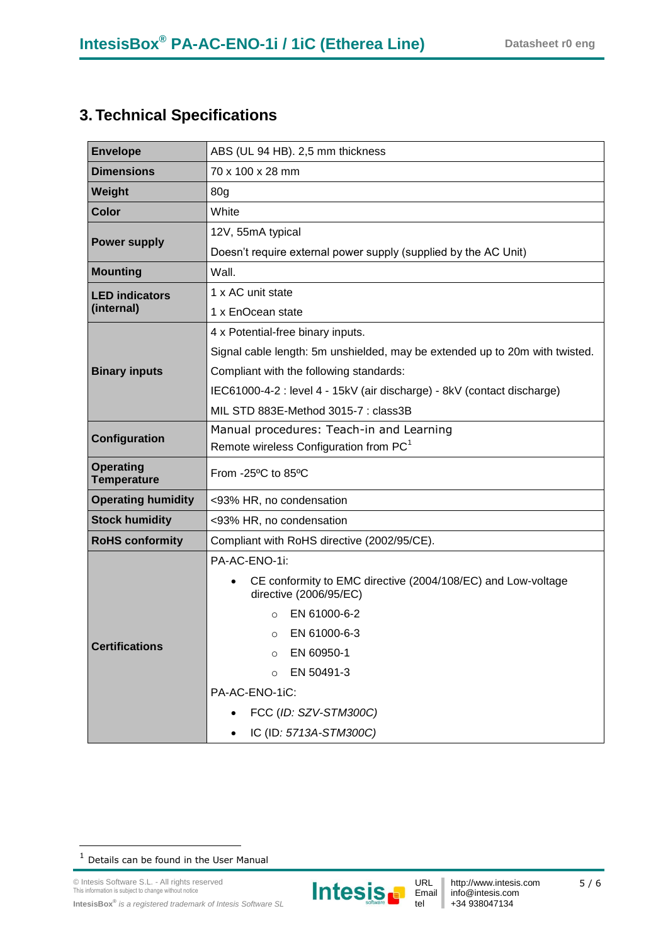# **3. Technical Specifications**

| <b>Envelope</b>                                   | ABS (UL 94 HB). 2,5 mm thickness                                                                    |  |  |
|---------------------------------------------------|-----------------------------------------------------------------------------------------------------|--|--|
| <b>Dimensions</b>                                 | 70 x 100 x 28 mm                                                                                    |  |  |
| Weight                                            | 80g                                                                                                 |  |  |
| <b>Color</b>                                      | White                                                                                               |  |  |
|                                                   | 12V, 55mA typical                                                                                   |  |  |
| <b>Power supply</b>                               | Doesn't require external power supply (supplied by the AC Unit)                                     |  |  |
| <b>Mounting</b>                                   | Wall.                                                                                               |  |  |
| <b>LED indicators</b>                             | 1 x AC unit state                                                                                   |  |  |
| (internal)                                        | 1 x EnOcean state                                                                                   |  |  |
|                                                   | 4 x Potential-free binary inputs.                                                                   |  |  |
|                                                   | Signal cable length: 5m unshielded, may be extended up to 20m with twisted.                         |  |  |
| <b>Binary inputs</b>                              | Compliant with the following standards:                                                             |  |  |
|                                                   | IEC61000-4-2 : level 4 - 15kV (air discharge) - 8kV (contact discharge)                             |  |  |
|                                                   | MIL STD 883E-Method 3015-7 : class3B                                                                |  |  |
| Configuration                                     | Manual procedures: Teach-in and Learning                                                            |  |  |
|                                                   | Remote wireless Configuration from PC <sup>1</sup>                                                  |  |  |
| <b>Operating</b><br><b>Temperature</b>            | From -25°C to 85°C                                                                                  |  |  |
| <b>Operating humidity</b>                         | <93% HR, no condensation                                                                            |  |  |
| <b>Stock humidity</b><br><93% HR, no condensation |                                                                                                     |  |  |
| <b>RoHS conformity</b>                            | Compliant with RoHS directive (2002/95/CE).                                                         |  |  |
|                                                   | PA-AC-ENO-1i:                                                                                       |  |  |
|                                                   | CE conformity to EMC directive (2004/108/EC) and Low-voltage<br>$\bullet$<br>directive (2006/95/EC) |  |  |
|                                                   | EN 61000-6-2<br>$\Omega$                                                                            |  |  |
|                                                   | EN 61000-6-3<br>$\circ$                                                                             |  |  |
| <b>Certifications</b>                             | EN 60950-1<br>$\Omega$                                                                              |  |  |
|                                                   | EN 50491-3<br>$\Omega$                                                                              |  |  |
|                                                   | PA-AC-ENO-1iC:                                                                                      |  |  |
|                                                   | FCC (ID: SZV-STM300C)                                                                               |  |  |
|                                                   | IC (ID: 5713A-STM300C)                                                                              |  |  |

1



 $1$  Details can be found in the User Manual